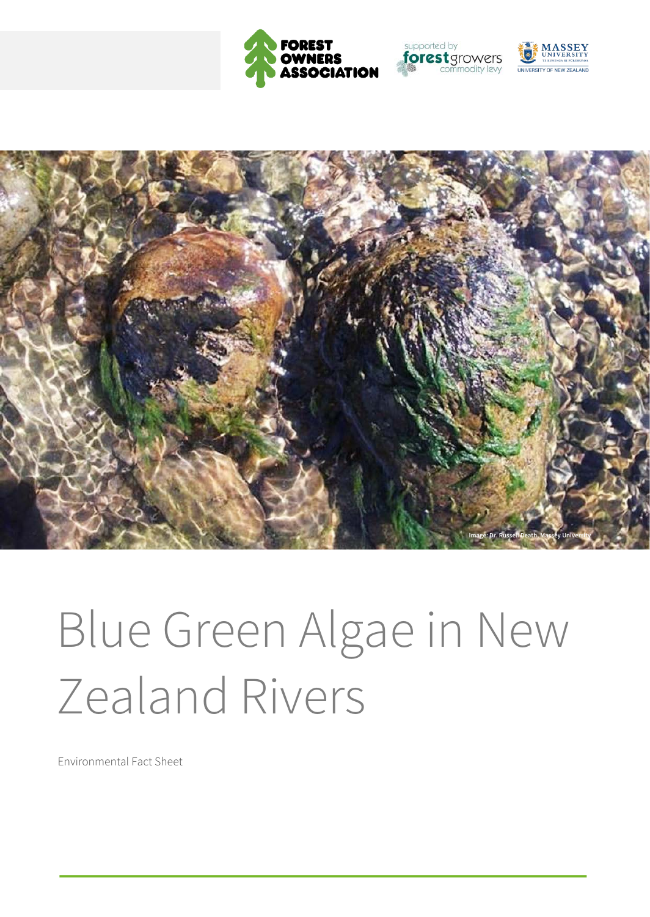







# Blue Green Algae in New Zealand Rivers

Environmental Fact Sheet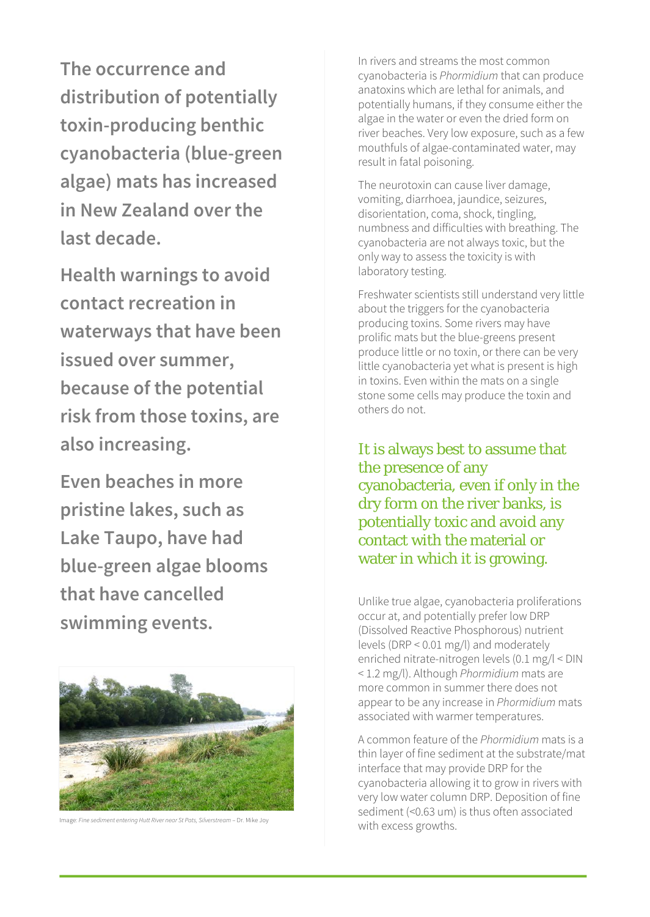**The occurrence and distribution of potentially toxin-producing benthic cyanobacteria (blue-green algae) mats has increased in New Zealand over the last decade.** 

**Health warnings to avoid contact recreation in waterways that have been issued over summer, because of the potential risk from those toxins, are also increasing.** 

**Even beaches in more pristine lakes, such as Lake Taupo, have had blue-green algae blooms that have cancelled swimming events.**



with excess growths. Image: *Fine sediment entering Hutt River near St Pats, Silverstream* – Dr. Mike Joy

In rivers and streams the most common cyanobacteria is *Phormidium* that can produce anatoxins which are lethal for animals, and potentially humans, if they consume either the algae in the water or even the dried form on river beaches. Very low exposure, such as a few mouthfuls of algae-contaminated water, may result in fatal poisoning.

The neurotoxin can cause liver damage, vomiting, diarrhoea, jaundice, seizures, disorientation, coma, shock, tingling, numbness and difficulties with breathing. The cyanobacteria are not always toxic, but the only way to assess the toxicity is with laboratory testing.

Freshwater scientists still understand very little about the triggers for the cyanobacteria producing toxins. Some rivers may have prolific mats but the blue-greens present produce little or no toxin, or there can be very little cyanobacteria yet what is present is high in toxins. Even within the mats on a single stone some cells may produce the toxin and others do not.

It is always best to assume that the presence of any cyanobacteria, even if only in the dry form on the river banks, is potentially toxic and avoid any contact with the material or water in which it is growing.

Unlike true algae, cyanobacteria proliferations occur at, and potentially prefer low DRP (Dissolved Reactive Phosphorous) nutrient levels (DRP < 0.01 mg/l) and moderately enriched nitrate-nitrogen levels (0.1 mg/l < DIN < 1.2 mg/l). Although *Phormidium* mats are more common in summer there does not appear to be any increase in *Phormidium* mats associated with warmer temperatures.

A common feature of the *Phormidium* mats is a thin layer of fine sediment at the substrate/mat interface that may provide DRP for the cyanobacteria allowing it to grow in rivers with very low water column DRP. Deposition of fine sediment (<0.63 um) is thus often associated